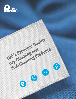

**COMPARTMENT** 

100% Premium Quality

Wet-Cleaning Products

Dry-Cleaning and

R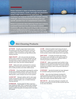Pariser Industries is adept at identifying customer issues relating to procedures, results, and usage cost parameters across a wide variety of cleaning applications. Our consultants will diagnose and solve your complex cleaning challenges, and recommend the best formula for your specific operation from our comprehensive product line.

Pariser is passionate about delivering world-class products, competent technical service, extraordinary customer satisfaction, and value. Contact your Pariser representative or email info@pariserchem.com to learn more about the products that would be the most beneficial for your needs.



## Wet-Cleaning Products

**ACTIVATE** Versatile oxygen bleach-based cleaner formulated to provide safe, controlled stain removal on a variety of fabrics and surfaces in mild to warm water conditions in both conventional and high-efficiency (HE) washing machines.

**AQUA VELVET** All-in-one, one-shot wet-cleaning product which combines an acid-based detergent (for dye loss prevention on dry-clean only fabrics), stain removers, and state-of-the-art fabric conditioners that provides garments with a fresh and clean smelling fragrance.

**CEXP** Highly active odor-counteractant for numerous applications involving the removal of organic-type odors, such as bodily excretions and smoke-related sources.

**CITRASOL** Citrus-based additive developed for washing durable press, polyesters, polyester-cotton, and other hardto-clean fabrics. It removes greasy soils without adversely affecting fabric crease resistance and soil resist qualities.

**CLOUD-DET** Detergent additive safe for wide ranges of fabric and garment types that is formulated to achieve optimum cleaning results in non- or limited-immersion cleaning machines.

**HYDROCON** Finishing agent for fabrics requiring a more relaxed and softer "hand." It improves stain resistance and reduces static and pressing time. This product can be used for conditioning suedes and leathers which have been wet-cleaned.

**LS-100** A blend of synthetic liquid sizing and natural corn starch. It is intended for use on synthetics, blends, and cottons. The product leaves garments with excellent body. It will not leave a shine on dark-colored shirts or garments.

**SHOT-SPOT** A versatile, all-purpose stain remover. The product can be used both as a pre-spotting agent for wet-cleaning and as an additive for washing to assist in removing oil, grease, and ground-in soil.

**STAND UP** Highly concentrated, liquid synthetic sizing designed to provide significant body and starch-like rigidity to textiles in an aqueous environment. This product prevents sticking and scorching to make ironing easier, especially on synthetic fabrics.

**SYMPHONY** Specially formulated wet-clean detergent for controlled sudsing and premium garment "hand."

**ULTRA** Heavy duty liquid detergent developed for washing durable-press polyesters, polyester-cotton, and other hard-to-clean fabrics using hard water. It removes greasy soils without adversely affecting fabric crease.

**WET-DETTE** Wet-cleaning detergent compatible with all fabrics that performs on the acid side to prevent dye loss on dry-clean only fabrics.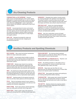

## Dry-Cleaning Products

**CORONATION** and **GE-SUPREME** Premiumgrade coconut oil-based detergents which contain agents developed to virtually eliminate static as well as an optical brightener component which provides enhanced garment color reflectivity. CORONATION is used in hydrocarbon solvent systems. GE-SUPREME is optimized for Green Earth solvent systems.

**MAXIM** Concentrated blend of anionic and nonionic surfactants, citrus-based turpine solvents, state-of-the-art anti-static agents, and anti-microbial agents. This product will suspend and disperse moisture, reduce linting, and lubricate garment fibers leaving them in a clean, bright, and supple condition.

**MID-CAP** Detergent formulated for smoke and fire restoration with advanced odor mitigating and encapsulating properties.

**MONARCH** Phosphate-free, medium viscosity, anionic dry-cleaning detergent with significant resin-based sizing. The product contains a coconut oil base and anti-static agents and produces a fresh-smelling, luxuriant-sized "hand" that drapes and finishes well, without a board-like texture.

**PRO MAX AAP** Cationic dry-cleaning detergent designed for use with injection system dry-cleaning applications. It contains a carefully balanced amount of moisture and special softening agents and is compatible with perc and hydrocarbon systems.

**REGAL** Non-ionic, moistureless, coconut oil-based concentrated detergent which provides exceptional "hand" for drape and proper finishing. These unique characteristics virtually eliminate static and lint.

## **Ancie Products and Spotting Chemical**

**BIO CHARGE** Odor control and solvent maintenance additive for today's hydrocarbon systems.

**D.C. SCENT** Concentrated, solvent soluble re-odorant for maintenance of dry-cleaning solvent, and treatment of specialty loads requiring odor adjustment in either perc or hydrocarbon systems.

**FIBER-SIZE** Odorless type sizing for dry-cleaning systems and other textile preparation applications that improves textile drape and "hand;" provides body and luster; speeds the finishing by 60%; and enhances color brightness.

**iDET** Dry-cleaning, dry-side spray spotter safe on most garments, materials, and dyes that can be used for pre- and post-spotting applications on both dry- and wet-side stains, in perchlorethylene, as well as hydrocarbon-based systems.

**INK OUT** Spotting product for the general removal of most ink, and many crayon, grease, tar, and oily-type stains.

**P.O.G.** Paint, oil, and grease remover for perc systems. It is a quick cutting solvent with oily bases and lubricants that suspends soil to prevent redepositing.

**PARA-TANN** Tannin stain remover used for beverages, liquor, tea, coffee, grass, and other tannin-type stains.

**PARA-TEIN** Protein spotter used in the removal of blood, urine, milk, perspiration, and other protein-type stains. **PARALINE BUFF** Dry-cleaning solvent treatment additive designed to combat the adverse effects of free fatty acid formation in the dry-cleaning system.

**PARALINE BWT and PARAPLEX P-2** Polymeric- and phosphate-based boiler treatment programs.

**SILKY** Pre-spotting aid, both as a silk spotter and as a general leveling agent for moisture sensitive fabrics (silk, linen, gabardine, rayon, cotton, and wool).

**SPIN DR.** Deep cleans spin disc filters far more effectively than the standard spinning process. It lowers filter pressure and improves system maintenance.

**SPRAY-TEX** Spray spotter that reduces post-spotting by pre-treating soiled garments before cleaning.

**TASKMASTER** Multi-purpose stain remover formulated for use in both perc and hydrocarbon solvents to remove both dry-side and wet-side stains and is safe on most fabrics including suede.

**TEX-SETTE** Odorless sizing for dry-cleaning systems and other textile preparation applications that contains a brightener to enhance colors.